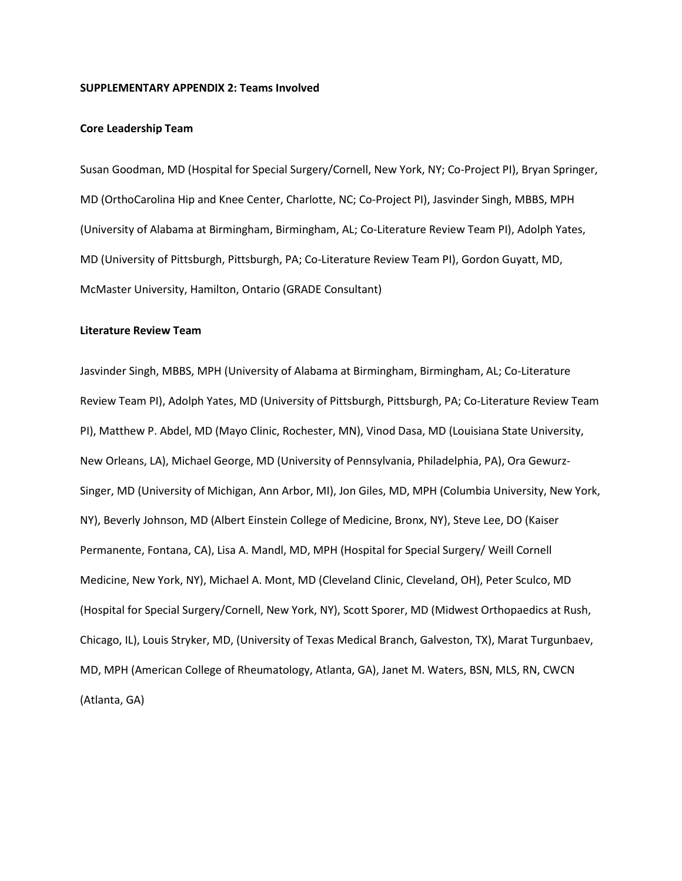#### **SUPPLEMENTARY APPENDIX 2: Teams Involved**

## **Core Leadership Team**

Susan Goodman, MD (Hospital for Special Surgery/Cornell, New York, NY; Co-Project PI), Bryan Springer, MD (OrthoCarolina Hip and Knee Center, Charlotte, NC; Co-Project PI), Jasvinder Singh, MBBS, MPH (University of Alabama at Birmingham, Birmingham, AL; Co-Literature Review Team PI), Adolph Yates, MD (University of Pittsburgh, Pittsburgh, PA; Co-Literature Review Team PI), Gordon Guyatt, MD, McMaster University, Hamilton, Ontario (GRADE Consultant)

# **Literature Review Team**

Jasvinder Singh, MBBS, MPH (University of Alabama at Birmingham, Birmingham, AL; Co-Literature Review Team PI), Adolph Yates, MD (University of Pittsburgh, Pittsburgh, PA; Co-Literature Review Team PI), Matthew P. Abdel, MD (Mayo Clinic, Rochester, MN), Vinod Dasa, MD (Louisiana State University, New Orleans, LA), Michael George, MD (University of Pennsylvania, Philadelphia, PA), Ora Gewurz-Singer, MD (University of Michigan, Ann Arbor, MI), Jon Giles, MD, MPH (Columbia University, New York, NY), Beverly Johnson, MD (Albert Einstein College of Medicine, Bronx, NY), Steve Lee, DO (Kaiser Permanente, Fontana, CA), Lisa A. Mandl, MD, MPH (Hospital for Special Surgery/ Weill Cornell Medicine, New York, NY), Michael A. Mont, MD (Cleveland Clinic, Cleveland, OH), Peter Sculco, MD (Hospital for Special Surgery/Cornell, New York, NY), Scott Sporer, MD (Midwest Orthopaedics at Rush, Chicago, IL), Louis Stryker, MD, (University of Texas Medical Branch, Galveston, TX), Marat Turgunbaev, MD, MPH (American College of Rheumatology, Atlanta, GA), Janet M. Waters, BSN, MLS, RN, CWCN (Atlanta, GA)